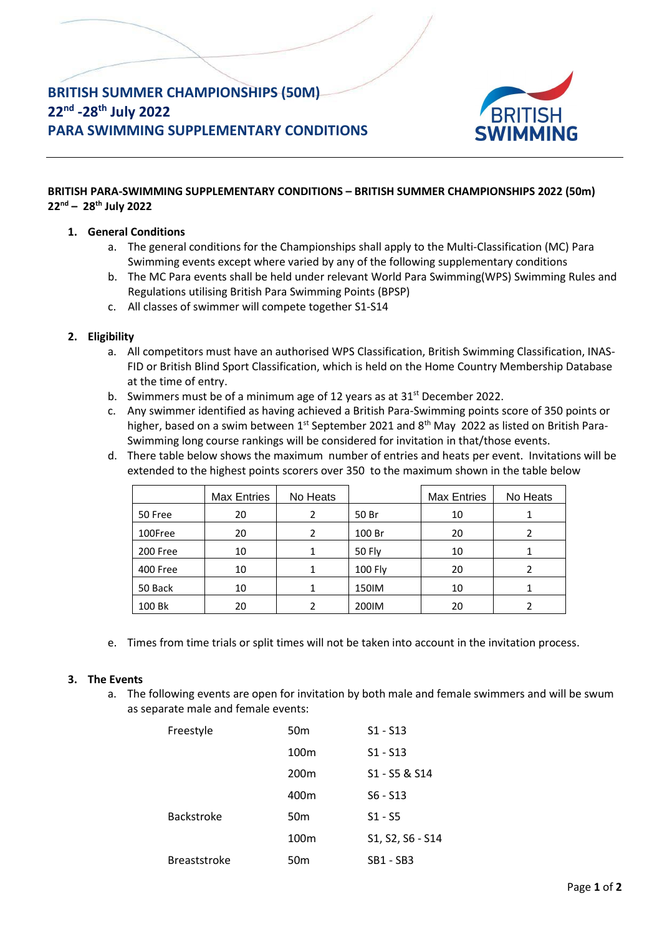# **BRITISH SUMMER CHAMPIONSHIPS (50M) 22nd -28th July 2022 PARA SWIMMING SUPPLEMENTARY CONDITIONS**



# **BRITISH PARA-SWIMMING SUPPLEMENTARY CONDITIONS – BRITISH SUMMER CHAMPIONSHIPS 2022 (50m) 22nd – 28th July 2022**

## **1. General Conditions**

- a. The general conditions for the Championships shall apply to the Multi-Classification (MC) Para Swimming events except where varied by any of the following supplementary conditions
- b. The MC Para events shall be held under relevant World Para Swimming(WPS) Swimming Rules and Regulations utilising British Para Swimming Points (BPSP)
- c. All classes of swimmer will compete together S1-S14

## **2. Eligibility**

- a. All competitors must have an authorised WPS Classification, British Swimming Classification, INAS-FID or British Blind Sport Classification, which is held on the Home Country Membership Database at the time of entry.
- b. Swimmers must be of a minimum age of 12 years as at  $31<sup>st</sup>$  December 2022.
- c. Any swimmer identified as having achieved a British Para-Swimming points score of 350 points or higher, based on a swim between 1<sup>st</sup> September 2021 and 8<sup>th</sup> May 2022 as listed on British Para-Swimming long course rankings will be considered for invitation in that/those events.
- d. There table below shows the maximum number of entries and heats per event. Invitations will be extended to the highest points scorers over 350 to the maximum shown in the table below

|          | <b>Max Entries</b> | No Heats |                | <b>Max Entries</b> | No Heats |
|----------|--------------------|----------|----------------|--------------------|----------|
| 50 Free  | 20                 |          | 50 Br          | 10                 |          |
| 100Free  | 20                 | 2        | 100 Br         | 20                 |          |
| 200 Free | 10                 | 1        | 50 Fly         | 10                 |          |
| 400 Free | 10                 |          | <b>100 Fly</b> | 20                 |          |
| 50 Back  | 10                 |          | 150IM          | 10                 |          |
| 100 Bk   | 20                 |          | 200IM          | 20                 |          |

e. Times from time trials or split times will not be taken into account in the invitation process.

#### **3. The Events**

a. The following events are open for invitation by both male and female swimmers and will be swum as separate male and female events:

| Freestyle           | 50 <sub>m</sub>  | $S1 - S13$       |
|---------------------|------------------|------------------|
|                     | 100 <sub>m</sub> | $S1 - S13$       |
|                     | 200 <sub>m</sub> | S1 - S5 & S14    |
|                     | 400m             | $S6 - S13$       |
| <b>Backstroke</b>   | 50 <sub>m</sub>  | $S1 - S5$        |
|                     | 100 <sub>m</sub> | S1, S2, S6 - S14 |
| <b>Breaststroke</b> | 50m              | SB1 - SB3        |